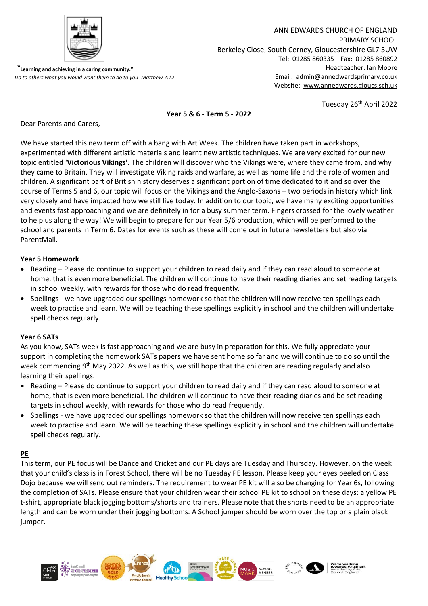

 "**Learning and achieving in a caring community."**  *Do to others what you would want them to do to you- Matthew 7:12*

ANN EDWARDS CHURCH OF ENGLAND PRIMARY SCHOOL Berkeley Close, South Cerney, Gloucestershire GL7 5UW Tel: 01285 860335 Fax: 01285 860892 Headteacher: Ian Moore Email: admin@annedwardsprimary.co.uk Website: [www.annedwards.gloucs.sch.uk](http://www.annedwards.gloucs.sch.uk/)

Tuesday 26<sup>th</sup> April 2022

## **Year 5 & 6 - Term 5 - 2022**

Dear Parents and Carers,

We have started this new term off with a bang with Art Week. The children have taken part in workshops, experimented with different artistic materials and learnt new artistic techniques. We are very excited for our new topic entitled '**Victorious Vikings'***.* The children will discover who the Vikings were, where they came from, and why they came to Britain. They will investigate Viking raids and warfare, as well as home life and the role of women and children. A significant part of British history deserves a significant portion of time dedicated to it and so over the course of Terms 5 and 6, our topic will focus on the Vikings and the Anglo-Saxons – two periods in history which link very closely and have impacted how we still live today. In addition to our topic, we have many exciting opportunities and events fast approaching and we are definitely in for a busy summer term. Fingers crossed for the lovely weather to help us along the way! We will begin to prepare for our Year 5/6 production, which will be performed to the school and parents in Term 6. Dates for events such as these will come out in future newsletters but also via ParentMail.

## **Year 5 Homework**

- Reading Please do continue to support your children to read daily and if they can read aloud to someone at home, that is even more beneficial. The children will continue to have their reading diaries and set reading targets in school weekly, with rewards for those who do read frequently.
- Spellings we have upgraded our spellings homework so that the children will now receive ten spellings each week to practise and learn. We will be teaching these spellings explicitly in school and the children will undertake spell checks regularly.

## **Year 6 SATs**

As you know, SATs week is fast approaching and we are busy in preparation for this. We fully appreciate your support in completing the homework SATs papers we have sent home so far and we will continue to do so until the week commencing 9<sup>th</sup> May 2022. As well as this, we still hope that the children are reading regularly and also learning their spellings.

- Reading Please do continue to support your children to read daily and if they can read aloud to someone at home, that is even more beneficial. The children will continue to have their reading diaries and be set reading targets in school weekly, with rewards for those who do read frequently.
- Spellings we have upgraded our spellings homework so that the children will now receive ten spellings each week to practise and learn. We will be teaching these spellings explicitly in school and the children will undertake spell checks regularly.

## **PE**

This term, our PE focus will be Dance and Cricket and our PE days are Tuesday and Thursday. However, on the week that your child's class is in Forest School, there will be no Tuesday PE lesson. Please keep your eyes peeled on Class Dojo because we will send out reminders. The requirement to wear PE kit will also be changing for Year 6s, following the completion of SATs. Please ensure that your children wear their school PE kit to school on these days: a yellow PE t-shirt, appropriate black jogging bottoms/shorts and trainers. Please note that the shorts need to be an appropriate length and can be worn under their jogging bottoms. A School jumper should be worn over the top or a plain black jumper.